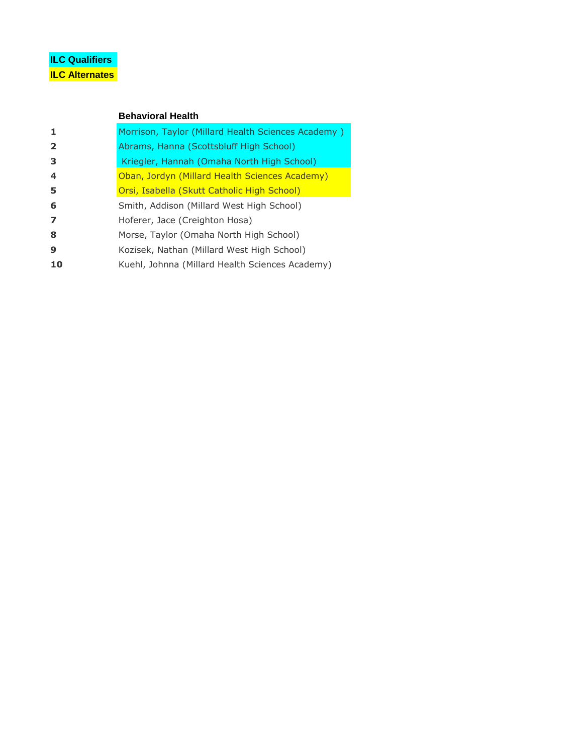# **ILC Qualifiers ILC Alternates**

### **Behavioral Health**

| 1                       | Morrison, Taylor (Millard Health Sciences Academy) |
|-------------------------|----------------------------------------------------|
| $\overline{2}$          | Abrams, Hanna (Scottsbluff High School)            |
| 3                       | Kriegler, Hannah (Omaha North High School)         |
| $\overline{\mathbf{4}}$ | Oban, Jordyn (Millard Health Sciences Academy)     |
| 5                       | Orsi, Isabella (Skutt Catholic High School)        |
| 6                       | Smith, Addison (Millard West High School)          |
| $\overline{ }$          | Hoferer, Jace (Creighton Hosa)                     |
| 8                       | Morse, Taylor (Omaha North High School)            |
| 9                       | Kozisek, Nathan (Millard West High School)         |
| 10                      | Kuehl, Johnna (Millard Health Sciences Academy)    |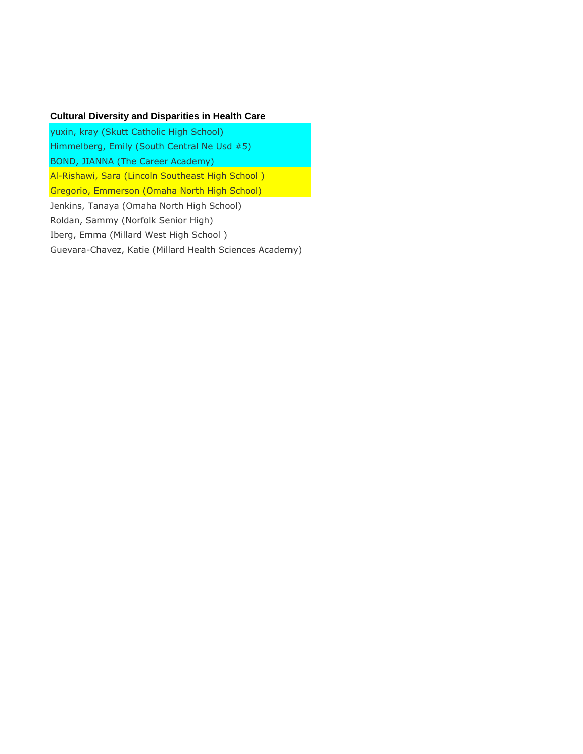### **Cultural Diversity and Disparities in Health Care**

yuxin, kray (Skutt Catholic High School) Himmelberg, Emily (South Central Ne Usd #5) BOND, JIANNA (The Career Academy) Al-Rishawi, Sara (Lincoln Southeast High School ) Gregorio, Emmerson (Omaha North High School) Jenkins, Tanaya (Omaha North High School) Roldan, Sammy (Norfolk Senior High) Iberg, Emma (Millard West High School ) Guevara-Chavez, Katie (Millard Health Sciences Academy)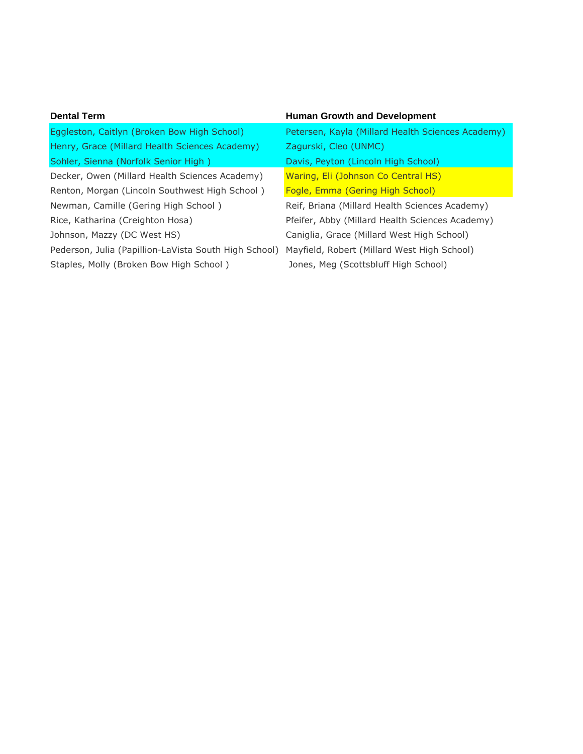| <b>Dental Term</b>                                    | <b>Human Growth and Development</b>               |
|-------------------------------------------------------|---------------------------------------------------|
| Eggleston, Caitlyn (Broken Bow High School)           | Petersen, Kayla (Millard Health Sciences Academy) |
| Henry, Grace (Millard Health Sciences Academy)        | Zagurski, Cleo (UNMC)                             |
| Sohler, Sienna (Norfolk Senior High)                  | Davis, Peyton (Lincoln High School)               |
| Decker, Owen (Millard Health Sciences Academy)        | Waring, Eli (Johnson Co Central HS)               |
| Renton, Morgan (Lincoln Southwest High School)        | Fogle, Emma (Gering High School)                  |
| Newman, Camille (Gering High School)                  | Reif, Briana (Millard Health Sciences Academy)    |
| Rice, Katharina (Creighton Hosa)                      | Pfeifer, Abby (Millard Health Sciences Academy)   |
| Johnson, Mazzy (DC West HS)                           | Caniglia, Grace (Millard West High School)        |
| Pederson, Julia (Papillion-LaVista South High School) | Mayfield, Robert (Millard West High School)       |
| Staples, Molly (Broken Bow High School)               | Jones, Meg (Scottsbluff High School)              |
|                                                       |                                                   |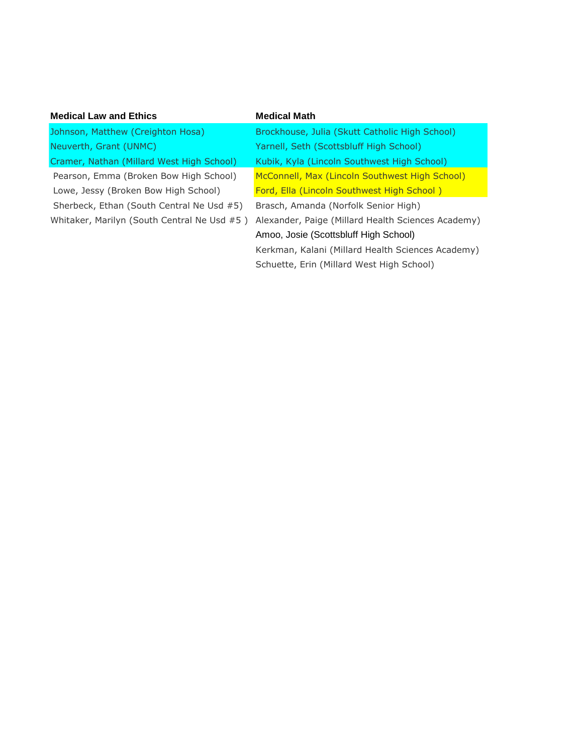| <b>Medical Math</b>                                |
|----------------------------------------------------|
| Brockhouse, Julia (Skutt Catholic High School)     |
| Yarnell, Seth (Scottsbluff High School)            |
| Kubik, Kyla (Lincoln Southwest High School)        |
| McConnell, Max (Lincoln Southwest High School)     |
| Ford, Ella (Lincoln Southwest High School)         |
| Brasch, Amanda (Norfolk Senior High)               |
| Alexander, Paige (Millard Health Sciences Academy) |
| Amoo, Josie (Scottsbluff High School)              |
| Kerkman, Kalani (Millard Health Sciences Academy)  |
| Schuette, Erin (Millard West High School)          |
|                                                    |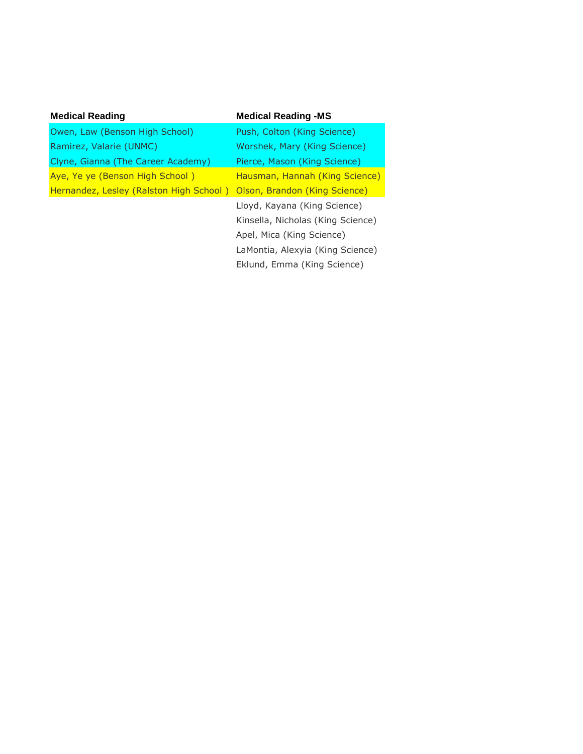| <b>Medical Reading</b>                  | <b>Medical Reading -MS</b>        |
|-----------------------------------------|-----------------------------------|
| Owen, Law (Benson High School)          | Push, Colton (King Science)       |
| Ramirez, Valarie (UNMC)                 | Worshek, Mary (King Science)      |
| Clyne, Gianna (The Career Academy)      | Pierce, Mason (King Science)      |
| Aye, Ye ye (Benson High School)         | Hausman, Hannah (King Science)    |
| Hernandez, Lesley (Ralston High School) | Olson, Brandon (King Science)     |
|                                         | Lloyd, Kayana (King Science)      |
|                                         | Kinsella, Nicholas (King Science) |
|                                         | Apel, Mica (King Science)         |
|                                         | LaMontia, Alexyia (King Science)  |
|                                         | Eklund, Emma (King Science)       |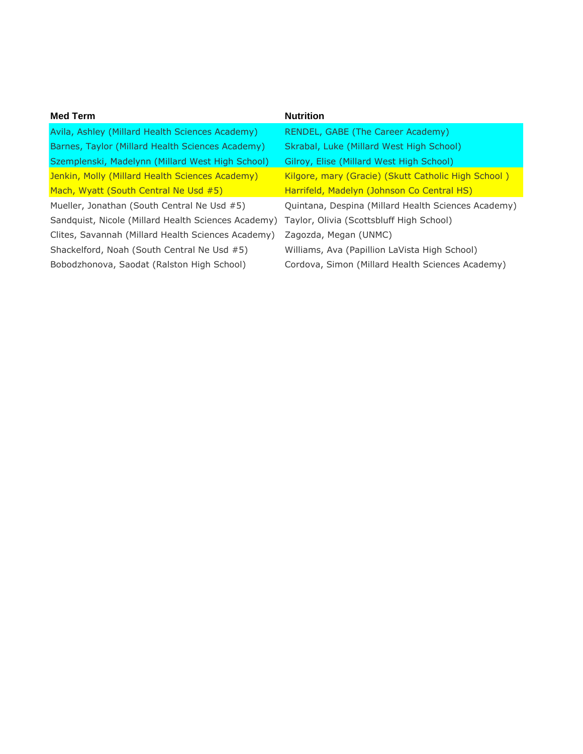| <b>Med Term</b>                                     | <b>Nutrition</b>                                    |
|-----------------------------------------------------|-----------------------------------------------------|
| Avila, Ashley (Millard Health Sciences Academy)     | RENDEL, GABE (The Career Academy)                   |
| Barnes, Taylor (Millard Health Sciences Academy)    | Skrabal, Luke (Millard West High School)            |
| Szemplenski, Madelynn (Millard West High School)    | Gilroy, Elise (Millard West High School)            |
| Jenkin, Molly (Millard Health Sciences Academy)     | Kilgore, mary (Gracie) (Skutt Catholic High School) |
| Mach, Wyatt (South Central Ne Usd #5)               | Harrifeld, Madelyn (Johnson Co Central HS)          |
| Mueller, Jonathan (South Central Ne Usd #5)         | Quintana, Despina (Millard Health Sciences Academy) |
| Sandquist, Nicole (Millard Health Sciences Academy) | Taylor, Olivia (Scottsbluff High School)            |
| Clites, Savannah (Millard Health Sciences Academy)  | Zagozda, Megan (UNMC)                               |
| Shackelford, Noah (South Central Ne Usd #5)         | Williams, Ava (Papillion LaVista High School)       |
| Bobodzhonova, Saodat (Ralston High School)          | Cordova, Simon (Millard Health Sciences Academy)    |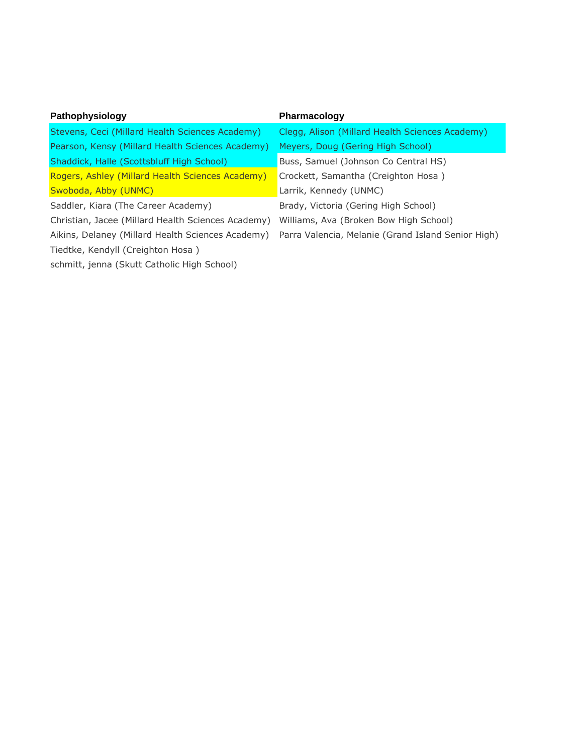| Pathophysiology                                    | Pharmacology                                       |
|----------------------------------------------------|----------------------------------------------------|
| Stevens, Ceci (Millard Health Sciences Academy)    | Clegg, Alison (Millard Health Sciences Academy)    |
| Pearson, Kensy (Millard Health Sciences Academy)   | Meyers, Doug (Gering High School)                  |
| Shaddick, Halle (Scottsbluff High School)          | Buss, Samuel (Johnson Co Central HS)               |
| Rogers, Ashley (Millard Health Sciences Academy)   | Crockett, Samantha (Creighton Hosa)                |
| Swoboda, Abby (UNMC)                               | Larrik, Kennedy (UNMC)                             |
| Saddler, Kiara (The Career Academy)                | Brady, Victoria (Gering High School)               |
| Christian, Jacee (Millard Health Sciences Academy) | Williams, Ava (Broken Bow High School)             |
| Aikins, Delaney (Millard Health Sciences Academy)  | Parra Valencia, Melanie (Grand Island Senior High) |
| Tiedtke, Kendyll (Creighton Hosa)                  |                                                    |
| schmitt, jenna (Skutt Catholic High School)        |                                                    |
|                                                    |                                                    |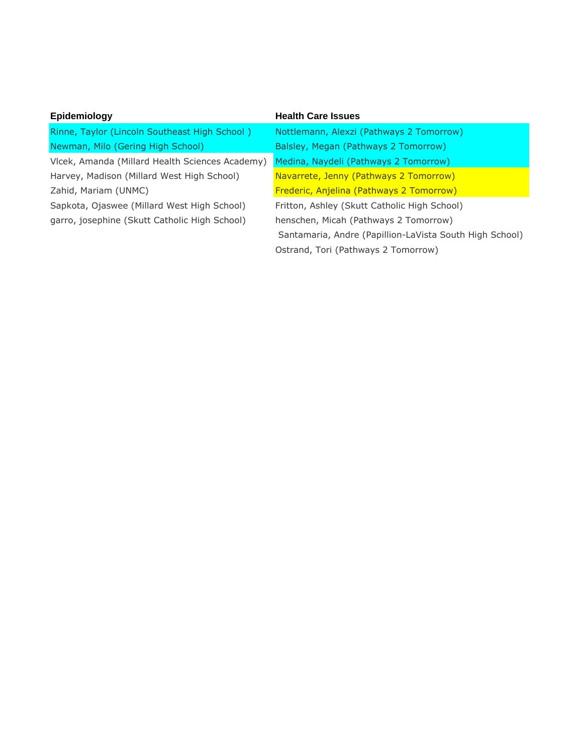| Epidemiology                                    | <b>Health Care Issues</b>                               |
|-------------------------------------------------|---------------------------------------------------------|
| Rinne, Taylor (Lincoln Southeast High School)   | Nottlemann, Alexzi (Pathways 2 Tomorrow)                |
| Newman, Milo (Gering High School)               | Balsley, Megan (Pathways 2 Tomorrow)                    |
| Vlcek, Amanda (Millard Health Sciences Academy) | Medina, Naydeli (Pathways 2 Tomorrow)                   |
| Harvey, Madison (Millard West High School)      | Navarrete, Jenny (Pathways 2 Tomorrow)                  |
| Zahid, Mariam (UNMC)                            | Frederic, Anjelina (Pathways 2 Tomorrow)                |
| Sapkota, Ojaswee (Millard West High School)     | Fritton, Ashley (Skutt Catholic High School)            |
| garro, josephine (Skutt Catholic High School)   | henschen, Micah (Pathways 2 Tomorrow)                   |
|                                                 | Santamaria, Andre (Papillion-LaVista South High School) |
|                                                 | Ostrand, Tori (Pathways 2 Tomorrow)                     |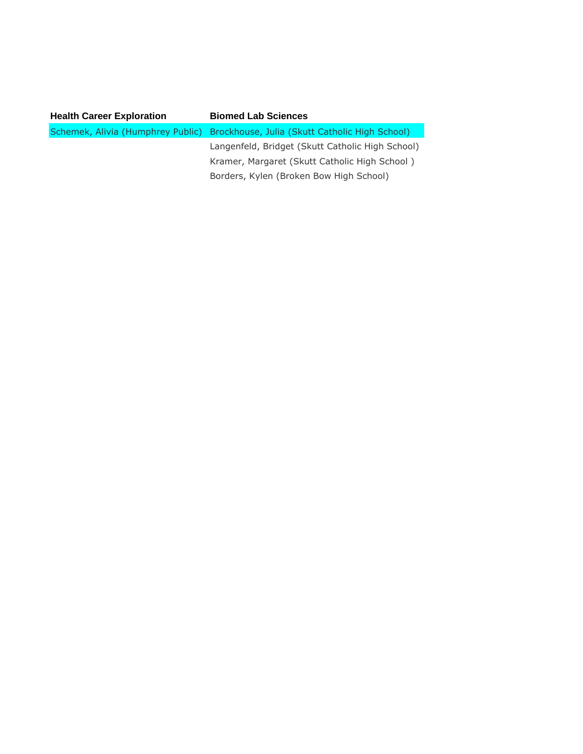| <b>Health Career Exploration</b> | <b>Biomed Lab Sciences</b>                                                       |
|----------------------------------|----------------------------------------------------------------------------------|
|                                  | Schemek, Alivia (Humphrey Public) Brockhouse, Julia (Skutt Catholic High School) |
|                                  | Langenfeld, Bridget (Skutt Catholic High School)                                 |
|                                  | Kramer, Margaret (Skutt Catholic High School)                                    |
|                                  | Borders, Kylen (Broken Bow High School)                                          |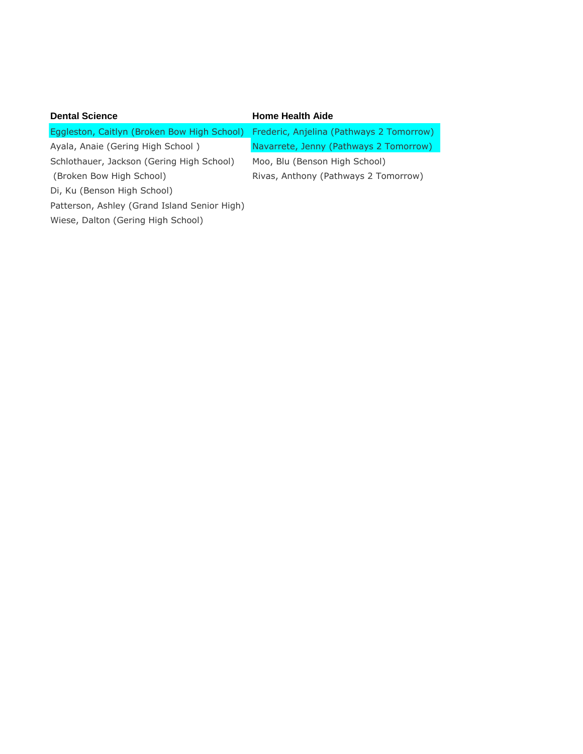| <b>Dental Science</b>                        | <b>Home Health Aide</b>                  |
|----------------------------------------------|------------------------------------------|
| Eggleston, Caitlyn (Broken Bow High School)  | Frederic, Anjelina (Pathways 2 Tomorrow) |
| Ayala, Anaie (Gering High School)            | Navarrete, Jenny (Pathways 2 Tomorrow)   |
| Schlothauer, Jackson (Gering High School)    | Moo, Blu (Benson High School)            |
| (Broken Bow High School)                     | Rivas, Anthony (Pathways 2 Tomorrow)     |
| Di, Ku (Benson High School)                  |                                          |
| Patterson, Ashley (Grand Island Senior High) |                                          |
| Wiese, Dalton (Gering High School)           |                                          |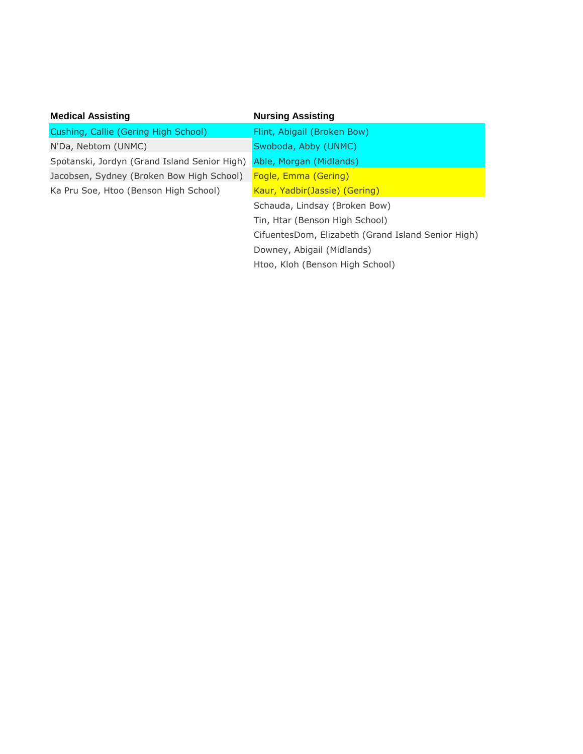| <b>Medical Assisting</b>                     | <b>Nursing Assisting</b>                           |
|----------------------------------------------|----------------------------------------------------|
| Cushing, Callie (Gering High School)         | Flint, Abigail (Broken Bow)                        |
| N'Da, Nebtom (UNMC)                          | Swoboda, Abby (UNMC)                               |
| Spotanski, Jordyn (Grand Island Senior High) | Able, Morgan (Midlands)                            |
| Jacobsen, Sydney (Broken Bow High School)    | Fogle, Emma (Gering)                               |
| Ka Pru Soe, Htoo (Benson High School)        | Kaur, Yadbir(Jassie) (Gering)                      |
|                                              | Schauda, Lindsay (Broken Bow)                      |
|                                              | Tin, Htar (Benson High School)                     |
|                                              | CifuentesDom, Elizabeth (Grand Island Senior High) |
|                                              | Downey, Abigail (Midlands)                         |
|                                              | Htoo, Kloh (Benson High School)                    |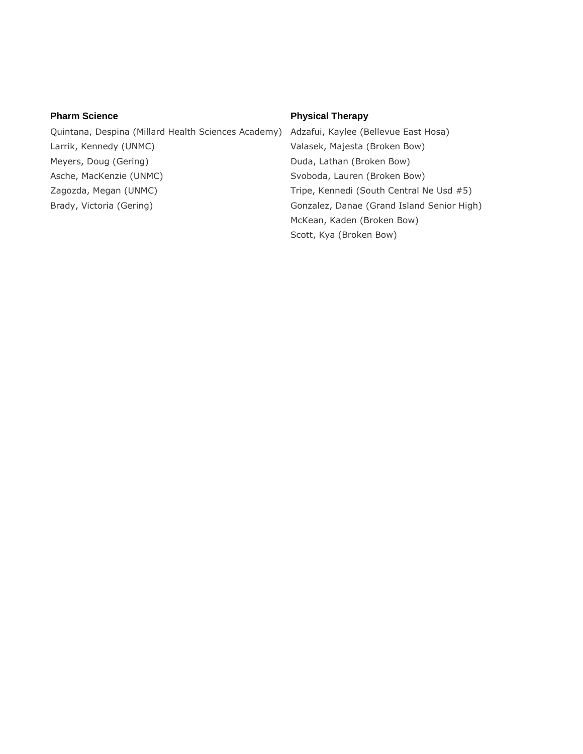Quintana, Despina (Millard Health Sciences Academy) Adzafui, Kaylee (Bellevue East Hosa) Larrik, Kennedy (UNMC) Valasek, Majesta (Broken Bow) Meyers, Doug (Gering) The Controller Studies (Broken Bow) Duda, Lathan (Broken Bow) Asche, MacKenzie (UNMC) Svoboda, Lauren (Broken Bow) Zagozda, Megan (UNMC) Tripe, Kennedi (South Central Ne Usd #5)

### **Pharm Science Physical Therapy**

Brady, Victoria (Gering) The Conzalez, Danae (Grand Island Senior High) McKean, Kaden (Broken Bow) Scott, Kya (Broken Bow)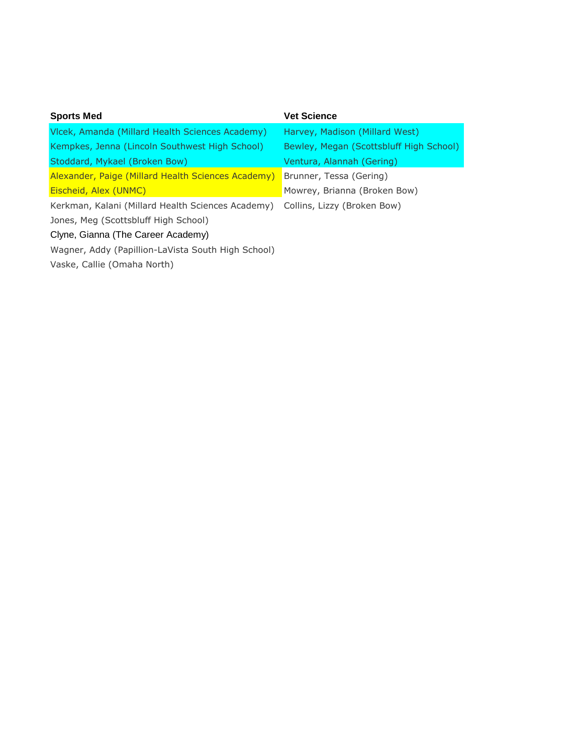| <b>Sports Med</b>                                  | <b>Vet Science</b>                      |
|----------------------------------------------------|-----------------------------------------|
| Vicek, Amanda (Millard Health Sciences Academy)    | Harvey, Madison (Millard West)          |
| Kempkes, Jenna (Lincoln Southwest High School)     | Bewley, Megan (Scottsbluff High School) |
| Stoddard, Mykael (Broken Bow)                      | Ventura, Alannah (Gering)               |
| Alexander, Paige (Millard Health Sciences Academy) | Brunner, Tessa (Gering)                 |
| Eischeid, Alex (UNMC)                              | Mowrey, Brianna (Broken Bow)            |
| Kerkman, Kalani (Millard Health Sciences Academy)  | Collins, Lizzy (Broken Bow)             |
| Jones, Meg (Scottsbluff High School)               |                                         |
| Clyne, Gianna (The Career Academy)                 |                                         |
| Wagner, Addy (Papillion-LaVista South High School) |                                         |
| Vaske, Callie (Omaha North)                        |                                         |
|                                                    |                                         |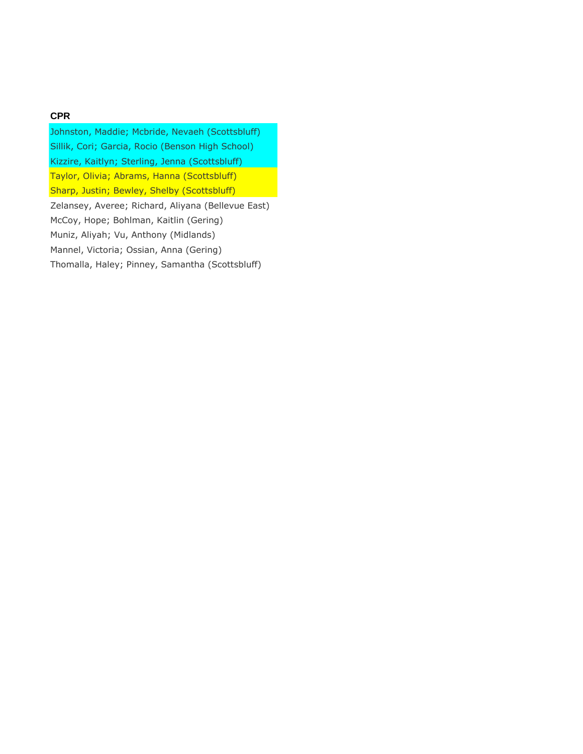## **CPR**

Johnston, Maddie; Mcbride, Nevaeh (Scottsbluff) Sillik, Cori; Garcia, Rocio (Benson High School) Kizzire, Kaitlyn; Sterling, Jenna (Scottsbluff) Taylor, Olivia; Abrams, Hanna (Scottsbluff) Sharp, Justin; Bewley, Shelby (Scottsbluff) Zelansey, Averee; Richard, Aliyana (Bellevue East) McCoy, Hope; Bohlman, Kaitlin (Gering) Muniz, Aliyah; Vu, Anthony (Midlands) Mannel, Victoria; Ossian, Anna (Gering) Thomalla, Haley; Pinney, Samantha (Scottsbluff)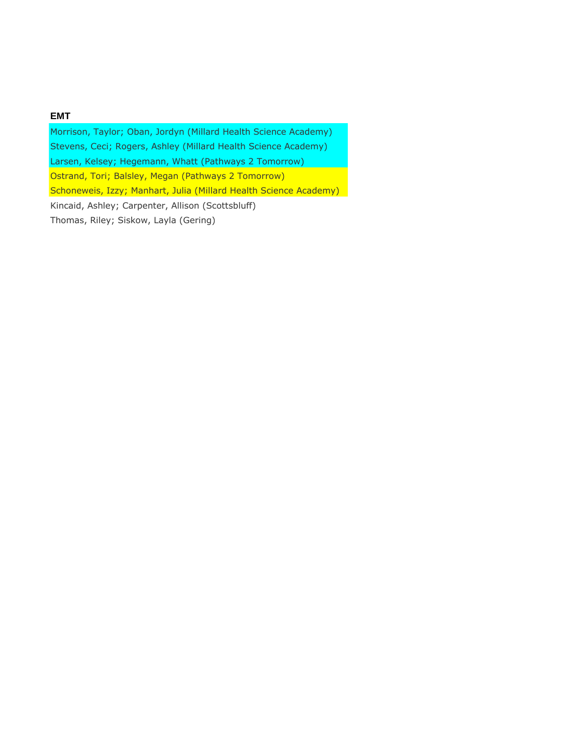### **EMT**

Morrison, Taylor; Oban, Jordyn (Millard Health Science Academy) Stevens, Ceci; Rogers, Ashley (Millard Health Science Academy) Larsen, Kelsey; Hegemann, Whatt (Pathways 2 Tomorrow) Ostrand, Tori; Balsley, Megan (Pathways 2 Tomorrow) Schoneweis, Izzy; Manhart, Julia (Millard Health Science Academy) Kincaid, Ashley; Carpenter, Allison (Scottsbluff) Thomas, Riley; Siskow, Layla (Gering)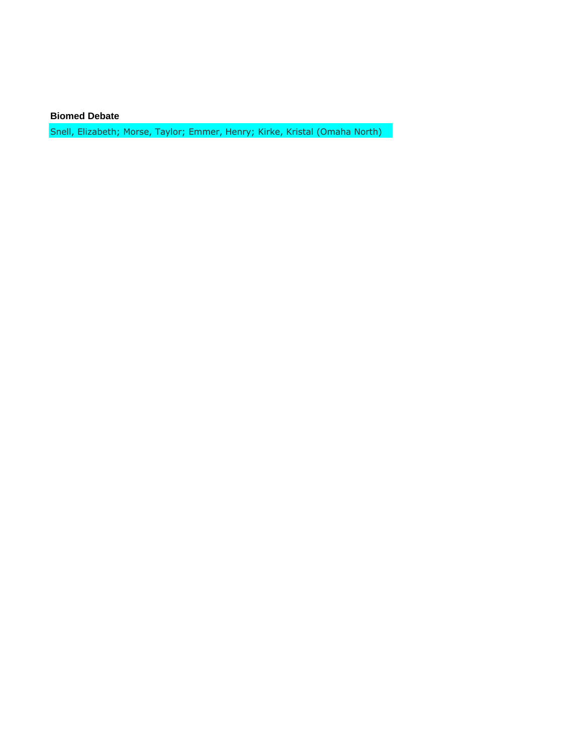**Biomed Debate**

Snell, Elizabeth; Morse, Taylor; Emmer, Henry; Kirke, Kristal (Omaha North)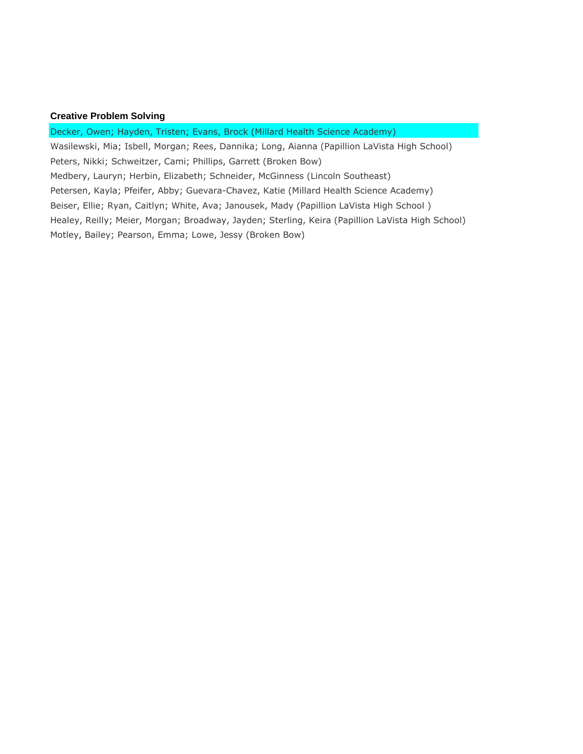#### **Creative Problem Solving**

Decker, Owen; Hayden, Tristen; Evans, Brock (Millard Health Science Academy) Wasilewski, Mia; Isbell, Morgan; Rees, Dannika; Long, Aianna (Papillion LaVista High School) Peters, Nikki; Schweitzer, Cami; Phillips, Garrett (Broken Bow) Medbery, Lauryn; Herbin, Elizabeth; Schneider, McGinness (Lincoln Southeast) Petersen, Kayla; Pfeifer, Abby; Guevara-Chavez, Katie (Millard Health Science Academy) Beiser, Ellie; Ryan, Caitlyn; White, Ava; Janousek, Mady (Papillion LaVista High School ) Healey, Reilly; Meier, Morgan; Broadway, Jayden; Sterling, Keira (Papillion LaVista High School) Motley, Bailey; Pearson, Emma; Lowe, Jessy (Broken Bow)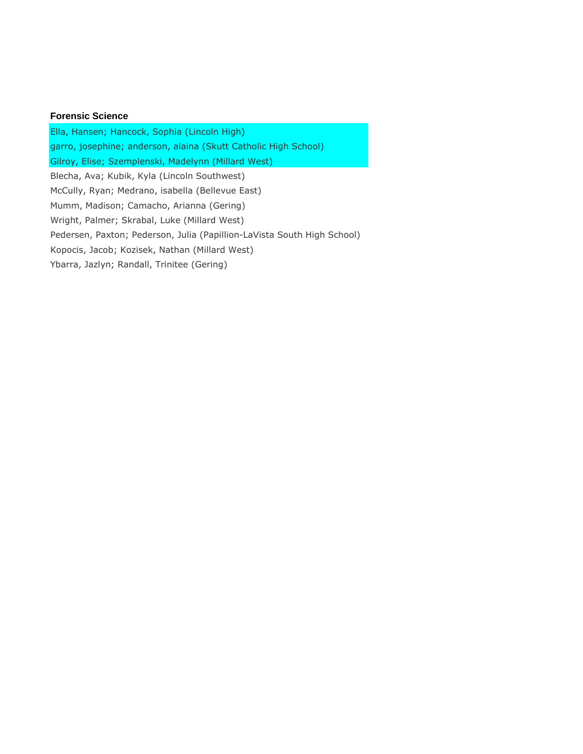#### **Forensic Science**

Ella, Hansen; Hancock, Sophia (Lincoln High) garro, josephine; anderson, alaina (Skutt Catholic High School) Gilroy, Elise; Szemplenski, Madelynn (Millard West) Blecha, Ava; Kubik, Kyla (Lincoln Southwest) McCully, Ryan; Medrano, isabella (Bellevue East) Mumm, Madison; Camacho, Arianna (Gering) Wright, Palmer; Skrabal, Luke (Millard West) Pedersen, Paxton; Pederson, Julia (Papillion-LaVista South High School) Kopocis, Jacob; Kozisek, Nathan (Millard West) Ybarra, Jazlyn; Randall, Trinitee (Gering)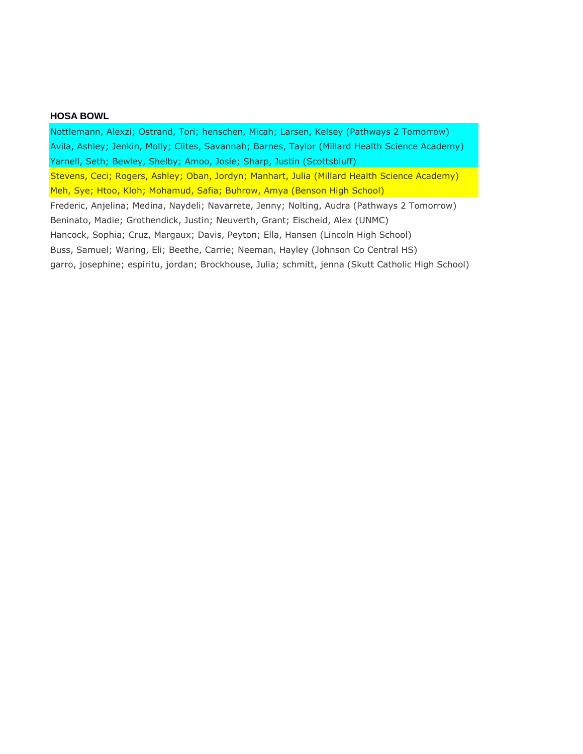#### **HOSA BOWL**

Nottlemann, Alexzi; Ostrand, Tori; henschen, Micah; Larsen, Kelsey (Pathways 2 Tomorrow) Avila, Ashley; Jenkin, Molly; Clites, Savannah; Barnes, Taylor (Millard Health Science Academy) Yarnell, Seth; Bewley, Shelby; Amoo, Josie; Sharp, Justin (Scottsbluff) Stevens, Ceci; Rogers, Ashley; Oban, Jordyn; Manhart, Julia (Millard Health Science Academy) Meh, Sye; Htoo, Kloh; Mohamud, Safia; Buhrow, Amya (Benson High School) Frederic, Anjelina; Medina, Naydeli; Navarrete, Jenny; Nolting, Audra (Pathways 2 Tomorrow) Beninato, Madie; Grothendick, Justin; Neuverth, Grant; Eischeid, Alex (UNMC) Hancock, Sophia; Cruz, Margaux; Davis, Peyton; Ella, Hansen (Lincoln High School) Buss, Samuel; Waring, Eli; Beethe, Carrie; Neeman, Hayley (Johnson Co Central HS) garro, josephine; espiritu, jordan; Brockhouse, Julia; schmitt, jenna (Skutt Catholic High School)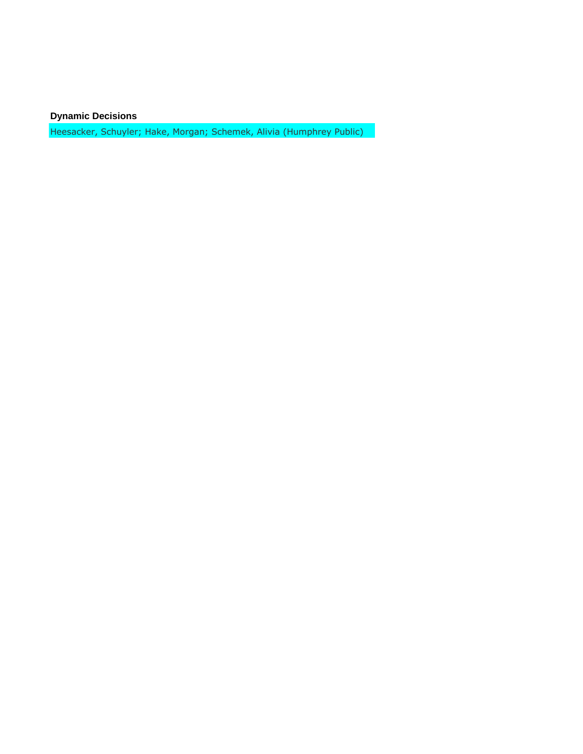**Dynamic Decisions**

Heesacker, Schuyler; Hake, Morgan; Schemek, Alivia (Humphrey Public)